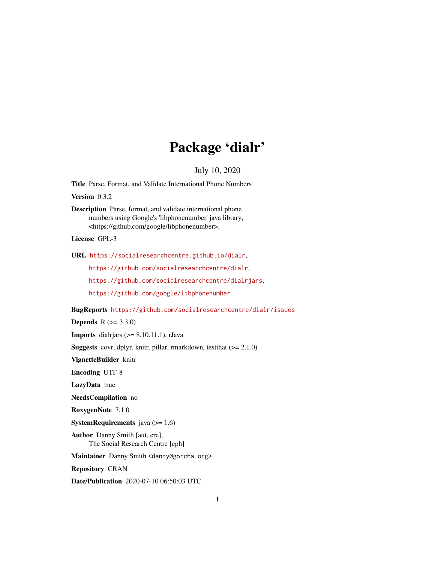# Package 'dialr'

July 10, 2020

<span id="page-0-0"></span>Title Parse, Format, and Validate International Phone Numbers

Version 0.3.2

Description Parse, format, and validate international phone numbers using Google's 'libphonenumber' java library, <https://github.com/google/libphonenumber>.

License GPL-3

URL <https://socialresearchcentre.github.io/dialr>,

<https://github.com/socialresearchcentre/dialr>,

<https://github.com/socialresearchcentre/dialrjars>,

<https://github.com/google/libphonenumber>

BugReports <https://github.com/socialresearchcentre/dialr/issues>

**Depends**  $R (= 3.3.0)$ 

**Imports** dialriars  $(>= 8.10.11.1)$ , rJava

Suggests covr, dplyr, knitr, pillar, rmarkdown, testthat (>= 2.1.0)

VignetteBuilder knitr

Encoding UTF-8

LazyData true

NeedsCompilation no

RoxygenNote 7.1.0

**SystemRequirements** java  $(>= 1.6)$ 

Author Danny Smith [aut, cre], The Social Research Centre [cph]

Maintainer Danny Smith <danny@gorcha.org>

Repository CRAN

Date/Publication 2020-07-10 06:50:03 UTC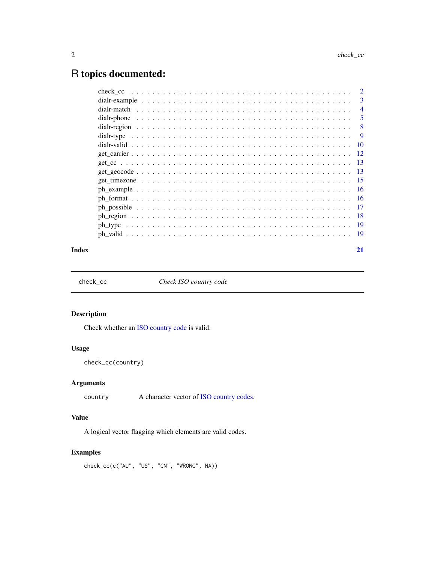# <span id="page-1-0"></span>R topics documented:

|  | $\overline{2}$ |
|--|----------------|
|  | 3              |
|  | $\overline{4}$ |
|  | 5              |
|  | 8              |
|  | -9             |
|  |                |
|  |                |
|  |                |
|  |                |
|  |                |
|  |                |
|  |                |
|  |                |
|  |                |
|  |                |
|  |                |
|  |                |

#### **Index** [21](#page-20-0)

check\_cc *Check ISO country code*

# Description

Check whether an [ISO country code](#page-7-1) is valid.

# Usage

check\_cc(country)

# Arguments

country A character vector of [ISO country codes.](#page-7-1)

# Value

A logical vector flagging which elements are valid codes.

# Examples

check\_cc(c("AU", "US", "CN", "WRONG", NA))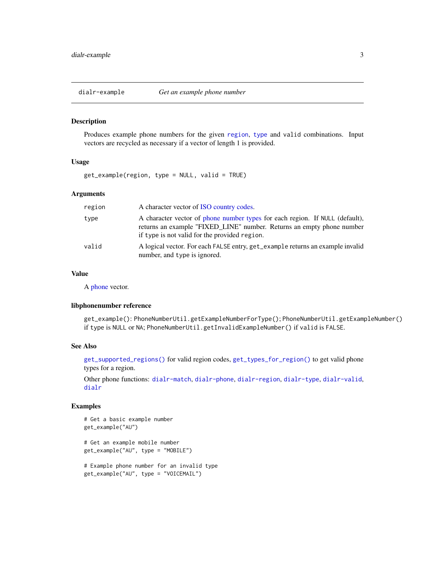<span id="page-2-1"></span><span id="page-2-0"></span>

Produces example phone numbers for the given [region](#page-7-1), [type](#page-8-1) and valid combinations. Input vectors are recycled as necessary if a vector of length 1 is provided.

#### Usage

get\_example(region, type = NULL, valid = TRUE)

#### Arguments

| region | A character vector of ISO country codes.                                                                                                                                                               |
|--------|--------------------------------------------------------------------------------------------------------------------------------------------------------------------------------------------------------|
| type   | A character vector of phone number types for each region. If NULL (default),<br>returns an example "FIXED_LINE" number. Returns an empty phone number<br>if type is not valid for the provided region. |
| valid  | A logical vector. For each FALSE entry, get_example returns an example invalid<br>number, and type is ignored.                                                                                         |

# Value

A [phone](#page-4-1) vector.

#### libphonenumber reference

get\_example(): PhoneNumberUtil.getExampleNumberForType(); PhoneNumberUtil.getExampleNumber() if type is NULL or NA; PhoneNumberUtil.getInvalidExampleNumber() if valid is FALSE.

#### See Also

[get\\_supported\\_regions\(\)](#page-7-2) for valid region codes, [get\\_types\\_for\\_region\(\)](#page-8-2) to get valid phone types for a region.

Other phone functions: [dialr-match](#page-3-1), [dialr-phone](#page-4-2), [dialr-region](#page-7-1), [dialr-type](#page-8-1), [dialr-valid](#page-9-1), [dialr](#page-0-0)

```
# Get a basic example number
get_example("AU")
# Get an example mobile number
get_example("AU", type = "MOBILE")
# Example phone number for an invalid type
get_example("AU", type = "VOICEMAIL")
```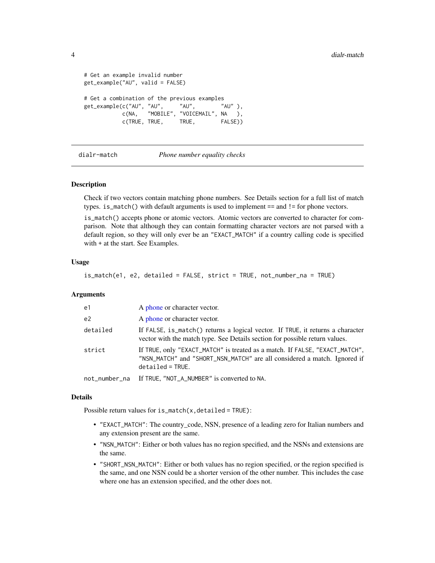```
# Get an example invalid number
get_example("AU", valid = FALSE)
# Get a combination of the previous examples
get_example(c("AU", "AU", "AU", "AU" ),
          c(NA, "MOBILE", "VOICEMAIL", NA ),
          c(TRUE, TRUE, TRUE, FALSE))
```
dialr-match *Phone number equality checks*

# Description

Check if two vectors contain matching phone numbers. See Details section for a full list of match types. is\_match() with default arguments is used to implement == and != for phone vectors.

is\_match() accepts phone or atomic vectors. Atomic vectors are converted to character for comparison. Note that although they can contain formatting character vectors are not parsed with a default region, so they will only ever be an "EXACT\_MATCH" if a country calling code is specified with + at the start. See Examples.

# Usage

is\_match(e1, e2, detailed = FALSE, strict = TRUE, not\_number\_na = TRUE)

#### Arguments

| e1       | A phone or character vector.                                                                                                                                               |
|----------|----------------------------------------------------------------------------------------------------------------------------------------------------------------------------|
| e2       | A phone or character vector.                                                                                                                                               |
| detailed | If FALSE, is match() returns a logical vector. If TRUE, it returns a character<br>vector with the match type. See Details section for possible return values.              |
| strict   | If TRUE, only "EXACT_MATCH" is treated as a match. If FALSE, "EXACT_MATCH",<br>"NSN_MATCH" and "SHORT_NSN_MATCH" are all considered a match. Ignored if<br>$delta = TRUE.$ |
|          | not_number_na If TRUE, "NOT_A_NUMBER" is converted to NA.                                                                                                                  |

#### Details

Possible return values for  $is\_match(x, detailed = TRUE)$ :

- "EXACT\_MATCH": The country\_code, NSN, presence of a leading zero for Italian numbers and any extension present are the same.
- "NSN\_MATCH": Either or both values has no region specified, and the NSNs and extensions are the same.
- "SHORT\_NSN\_MATCH": Either or both values has no region specified, or the region specified is the same, and one NSN could be a shorter version of the other number. This includes the case where one has an extension specified, and the other does not.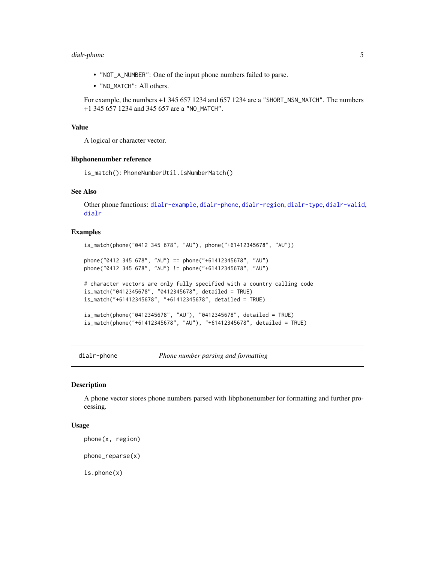# <span id="page-4-0"></span>dialr-phone 5

- "NOT\_A\_NUMBER": One of the input phone numbers failed to parse.
- "NO\_MATCH": All others.

For example, the numbers +1 345 657 1234 and 657 1234 are a "SHORT\_NSN\_MATCH". The numbers +1 345 657 1234 and 345 657 are a "NO\_MATCH".

#### Value

A logical or character vector.

#### libphonenumber reference

is\_match(): PhoneNumberUtil.isNumberMatch()

# See Also

Other phone functions: [dialr-example](#page-2-1), [dialr-phone](#page-4-2), [dialr-region](#page-7-1), [dialr-type](#page-8-1), [dialr-valid](#page-9-1), [dialr](#page-0-0)

#### Examples

```
is_match(phone("0412 345 678", "AU"), phone("+61412345678", "AU"))
phone("0412 345 678", "AU") == phone("+61412345678", "AU")
phone("0412 345 678", "AU") != phone("+61412345678", "AU")
# character vectors are only fully specified with a country calling code
is_match("0412345678", "0412345678", detailed = TRUE)
is_match("+61412345678", "+61412345678", detailed = TRUE)
is_match(phone("0412345678", "AU"), "0412345678", detailed = TRUE)
is_match(phone("+61412345678", "AU"), "+61412345678", detailed = TRUE)
```
<span id="page-4-2"></span>dialr-phone *Phone number parsing and formatting*

#### <span id="page-4-1"></span>Description

A phone vector stores phone numbers parsed with libphonenumber for formatting and further processing.

#### Usage

```
phone(x, region)
```
phone\_reparse(x)

is.phone(x)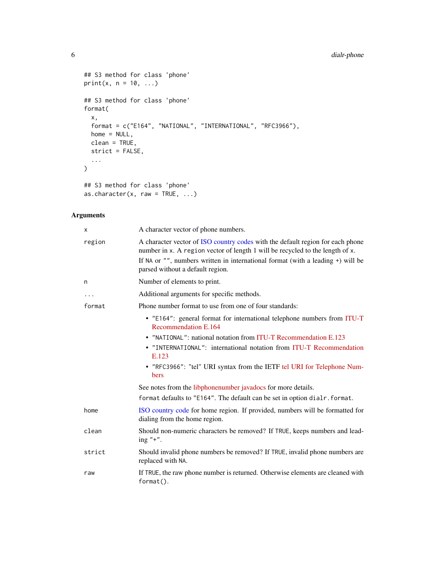# <span id="page-5-0"></span>6 dialr-phone

```
## S3 method for class 'phone'
print(x, n = 10, ...)
## S3 method for class 'phone'
format(
  x,
  format = c("E164", "NATIONAL", "INTERNATIONAL", "RFC3966"),
  home = NULL,clean = TRUE,
  strict = FALSE,
  ...
\mathcal{L}## S3 method for class 'phone'
as.character(x, raw = TRUE, ...)
```
# Arguments

| х      | A character vector of phone numbers.                                                                                                                                                                                                                                                       |
|--------|--------------------------------------------------------------------------------------------------------------------------------------------------------------------------------------------------------------------------------------------------------------------------------------------|
| region | A character vector of ISO country codes with the default region for each phone<br>number in x. A region vector of length 1 will be recycled to the length of x.<br>If NA or $"$ , numbers written in international format (with a leading $+)$ will be<br>parsed without a default region. |
| n      | Number of elements to print.                                                                                                                                                                                                                                                               |
| .      | Additional arguments for specific methods.                                                                                                                                                                                                                                                 |
| format | Phone number format to use from one of four standards:                                                                                                                                                                                                                                     |
|        | • "E164": general format for international telephone numbers from ITU-T<br>Recommendation E.164                                                                                                                                                                                            |
|        | • "NATIONAL": national notation from ITU-T Recommendation E.123                                                                                                                                                                                                                            |
|        | • "INTERNATIONAL": international notation from ITU-T Recommendation<br>E.123                                                                                                                                                                                                               |
|        | • "RFC3966": "tel" URI syntax from the IETF tel URI for Telephone Num-<br>bers                                                                                                                                                                                                             |
|        | See notes from the libphonenumber javadocs for more details.                                                                                                                                                                                                                               |
|        | format defaults to "E164". The default can be set in option dialr. format.                                                                                                                                                                                                                 |
| home   | ISO country code for home region. If provided, numbers will be formatted for<br>dialing from the home region.                                                                                                                                                                              |
| clean  | Should non-numeric characters be removed? If TRUE, keeps numbers and lead-<br>ing $"+''.$                                                                                                                                                                                                  |
| strict | Should invalid phone numbers be removed? If TRUE, invalid phone numbers are<br>replaced with NA.                                                                                                                                                                                           |
| raw    | If TRUE, the raw phone number is returned. Otherwise elements are cleaned with<br>format().                                                                                                                                                                                                |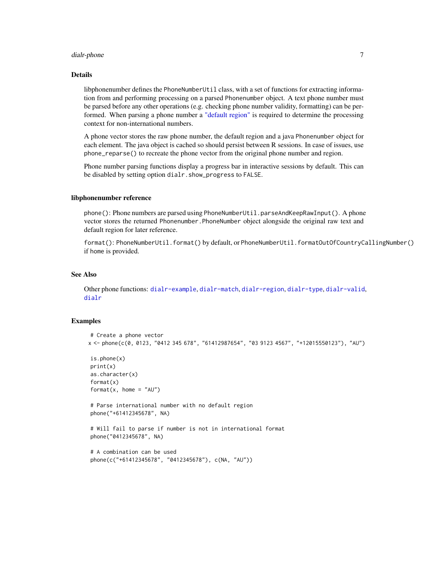#### <span id="page-6-0"></span>dialr-phone 7

#### Details

libphonenumber defines the PhoneNumberUtil class, with a set of functions for extracting information from and performing processing on a parsed Phonenumber object. A text phone number must be parsed before any other operations (e.g. checking phone number validity, formatting) can be performed. When parsing a phone number a ["default region"](#page-7-1) is required to determine the processing context for non-international numbers.

A phone vector stores the raw phone number, the default region and a java Phonenumber object for each element. The java object is cached so should persist between R sessions. In case of issues, use phone\_reparse() to recreate the phone vector from the original phone number and region.

Phone number parsing functions display a progress bar in interactive sessions by default. This can be disabled by setting option dialr.show\_progress to FALSE.

#### libphonenumber reference

phone(): Phone numbers are parsed using PhoneNumberUtil.parseAndKeepRawInput(). A phone vector stores the returned Phonenumber.PhoneNumber object alongside the original raw text and default region for later reference.

format(): PhoneNumberUtil.format() by default, or PhoneNumberUtil.formatOutOfCountryCallingNumber() if home is provided.

# See Also

Other phone functions: [dialr-example](#page-2-1), [dialr-match](#page-3-1), [dialr-region](#page-7-1), [dialr-type](#page-8-1), [dialr-valid](#page-9-1), [dialr](#page-0-0)

```
# Create a phone vector
x <- phone(c(0, 0123, "0412 345 678", "61412987654", "03 9123 4567", "+12015550123"), "AU")
is.phone(x)
print(x)
as.character(x)
format(x)
format(x, home = "AU")# Parse international number with no default region
phone("+61412345678", NA)
# Will fail to parse if number is not in international format
phone("0412345678", NA)
# A combination can be used
phone(c("+61412345678", "0412345678"), c(NA, "AU"))
```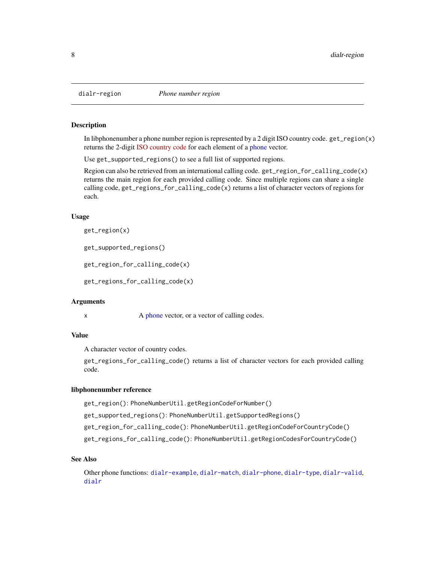<span id="page-7-2"></span><span id="page-7-1"></span><span id="page-7-0"></span>

In libphonenumber a phone number region is represented by a 2 digit ISO country code. get\_region(x) returns the 2-digit [ISO country code](https://en.wikipedia.org/wiki/ISO_3166-1) for each element of a [phone](#page-4-1) vector.

Use get\_supported\_regions() to see a full list of supported regions.

Region can also be retrieved from an international calling code. get\_region\_for\_calling\_code(x) returns the main region for each provided calling code. Since multiple regions can share a single calling code, get\_regions\_for\_calling\_code(x) returns a list of character vectors of regions for each.

#### Usage

get\_region(x)

get\_supported\_regions()

get\_region\_for\_calling\_code(x)

get\_regions\_for\_calling\_code(x)

#### Arguments

x A [phone](#page-4-1) vector, or a vector of calling codes.

# Value

A character vector of country codes.

get\_regions\_for\_calling\_code() returns a list of character vectors for each provided calling code.

#### libphonenumber reference

get\_region(): PhoneNumberUtil.getRegionCodeForNumber()

get\_supported\_regions(): PhoneNumberUtil.getSupportedRegions()

get\_region\_for\_calling\_code(): PhoneNumberUtil.getRegionCodeForCountryCode()

get\_regions\_for\_calling\_code(): PhoneNumberUtil.getRegionCodesForCountryCode()

#### See Also

Other phone functions: [dialr-example](#page-2-1), [dialr-match](#page-3-1), [dialr-phone](#page-4-2), [dialr-type](#page-8-1), [dialr-valid](#page-9-1), [dialr](#page-0-0)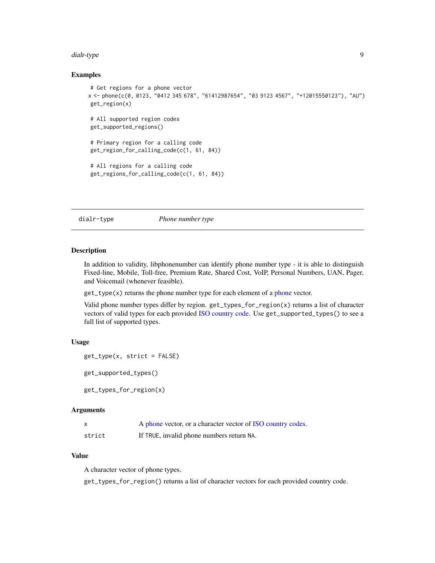#### <span id="page-8-0"></span>dialr-type 90 and 200 million of the state of the state of the state of the state of the state of the state of the state of the state of the state of the state of the state of the state of the state of the state of the sta

#### Examples

```
# Get regions for a phone vector
x <- phone(c(0, 0123, "0412 345 678", "61412987654", "03 9123 4567", "+12015550123"), "AU")
get_region(x)
# All supported region codes
get_supported_regions()
# Primary region for a calling code
get_region_for_calling_code(c(1, 61, 84))
# All regions for a calling code
get_regions_for_calling_code(c(1, 61, 84))
```
#### <span id="page-8-1"></span>dialr-type *Phone number type*

# <span id="page-8-2"></span>Description

In addition to validity, libphonenumber can identify phone number type - it is able to distinguish Fixed-line, Mobile, Toll-free, Premium Rate, Shared Cost, VoIP, Personal Numbers, UAN, Pager, and Voicemail (whenever feasible).

get\_type(x) returns the phone number type for each element of a [phone](#page-4-1) vector.

Valid phone number types differ by region. get\_types\_for\_region(x) returns a list of character vectors of valid types for each provided [ISO country code.](#page-7-1) Use get\_supported\_types() to see a full list of supported types.

#### Usage

```
get_type(x, strict = FALSE)
```
get\_supported\_types()

get\_types\_for\_region(x)

# Arguments

| x      | A phone vector, or a character vector of ISO country codes. |
|--------|-------------------------------------------------------------|
| strict | If TRUE, invalid phone numbers return NA.                   |

#### Value

A character vector of phone types.

get\_types\_for\_region() returns a list of character vectors for each provided country code.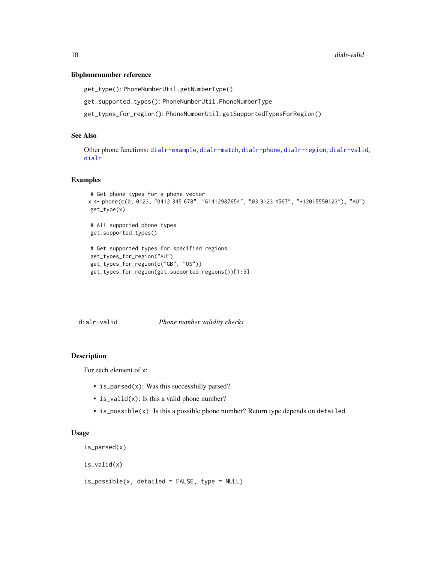#### <span id="page-9-0"></span>libphonenumber reference

```
get_type(): PhoneNumberUtil.getNumberType()
```
get\_supported\_types(): PhoneNumberUtil.PhoneNumberType

get\_types\_for\_region(): PhoneNumberUtil.getSupportedTypesForRegion()

#### See Also

Other phone functions: [dialr-example](#page-2-1), [dialr-match](#page-3-1), [dialr-phone](#page-4-2), [dialr-region](#page-7-1), [dialr-valid](#page-9-1), [dialr](#page-0-0)

# Examples

```
# Get phone types for a phone vector
x <- phone(c(0, 0123, "0412 345 678", "61412987654", "03 9123 4567", "+12015550123"), "AU")
get_type(x)
# All supported phone types
get_supported_types()
# Get supported types for specified regions
get_types_for_region("AU")
get_types_for_region(c("GB", "US"))
get_types_for_region(get_supported_regions())[1:5]
```
<span id="page-9-1"></span>dialr-valid *Phone number validity checks*

# Description

For each element of x:

- is\_parsed(x): Was this successfully parsed?
- is\_valid(x): Is this a valid phone number?
- is\_possible(x): Is this a possible phone number? Return type depends on detailed.

#### Usage

```
is_parsed(x)
```
is\_valid(x)

is\_possible(x, detailed = FALSE, type = NULL)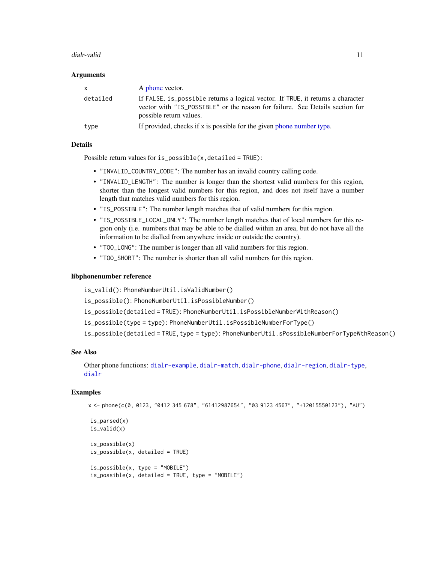#### <span id="page-10-0"></span>dialr-valid 11

#### **Arguments**

| $\mathsf{x}$ | A phone vector.                                                                                                                                                                            |
|--------------|--------------------------------------------------------------------------------------------------------------------------------------------------------------------------------------------|
| detailed     | If FALSE, is_possible returns a logical vector. If TRUE, it returns a character<br>vector with "IS_POSSIBLE" or the reason for failure. See Details section for<br>possible return values. |
| type         | If provided, checks if $x$ is possible for the given phone number type.                                                                                                                    |

# Details

Possible return values for is\_possible(x,detailed = TRUE):

- "INVALID\_COUNTRY\_CODE": The number has an invalid country calling code.
- "INVALID\_LENGTH": The number is longer than the shortest valid numbers for this region, shorter than the longest valid numbers for this region, and does not itself have a number length that matches valid numbers for this region.
- "IS\_POSSIBLE": The number length matches that of valid numbers for this region.
- "IS\_POSSIBLE\_LOCAL\_ONLY": The number length matches that of local numbers for this region only (i.e. numbers that may be able to be dialled within an area, but do not have all the information to be dialled from anywhere inside or outside the country).
- "TOO\_LONG": The number is longer than all valid numbers for this region.
- "TOO\_SHORT": The number is shorter than all valid numbers for this region.

#### libphonenumber reference

is\_valid(): PhoneNumberUtil.isValidNumber() is\_possible(): PhoneNumberUtil.isPossibleNumber() is\_possible(detailed = TRUE): PhoneNumberUtil.isPossibleNumberWithReason() is\_possible(type = type): PhoneNumberUtil.isPossibleNumberForType() is\_possible(detailed = TRUE,type = type): PhoneNumberUtil.sPossibleNumberForTypeWthReason()

#### See Also

Other phone functions: [dialr-example](#page-2-1), [dialr-match](#page-3-1), [dialr-phone](#page-4-2), [dialr-region](#page-7-1), [dialr-type](#page-8-1), [dialr](#page-0-0)

```
x <- phone(c(0, 0123, "0412 345 678", "61412987654", "03 9123 4567", "+12015550123"), "AU")
```

```
is_parsed(x)
is_valid(x)
is_possible(x)
is_possible(x, detailed = TRUE)
is_possible(x, type = "MOBILE")
is\_possible(x, detailed = TRUE, type = "MOBILE")
```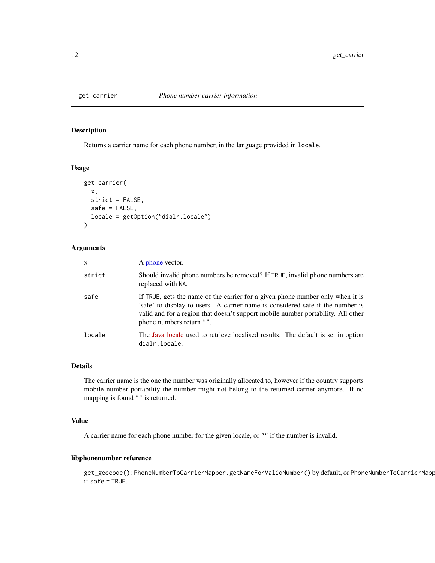<span id="page-11-0"></span>

Returns a carrier name for each phone number, in the language provided in locale.

# Usage

```
get_carrier(
 x,
 strict = FALSE,
 safe = FALSE,
 locale = getOption("dialr.locale")
)
```
#### Arguments

| $\mathsf{x}$ | A phone vector.                                                                                                                                                                                                                                                                  |
|--------------|----------------------------------------------------------------------------------------------------------------------------------------------------------------------------------------------------------------------------------------------------------------------------------|
| strict       | Should invalid phone numbers be removed? If TRUE, invalid phone numbers are<br>replaced with NA.                                                                                                                                                                                 |
| safe         | If TRUE, gets the name of the carrier for a given phone number only when it is<br>'safe' to display to users. A carrier name is considered safe if the number is<br>valid and for a region that doesn't support mobile number portability. All other<br>phone numbers return "". |
| locale       | The Java locale used to retrieve localised results. The default is set in option<br>dialr.locale.                                                                                                                                                                                |

#### Details

The carrier name is the one the number was originally allocated to, however if the country supports mobile number portability the number might not belong to the returned carrier anymore. If no mapping is found "" is returned.

#### Value

A carrier name for each phone number for the given locale, or "" if the number is invalid.

# libphonenumber reference

get\_geocode(): PhoneNumberToCarrierMapper.getNameForValidNumber() by default, or PhoneNumberToCarrierMapp if safe = TRUE.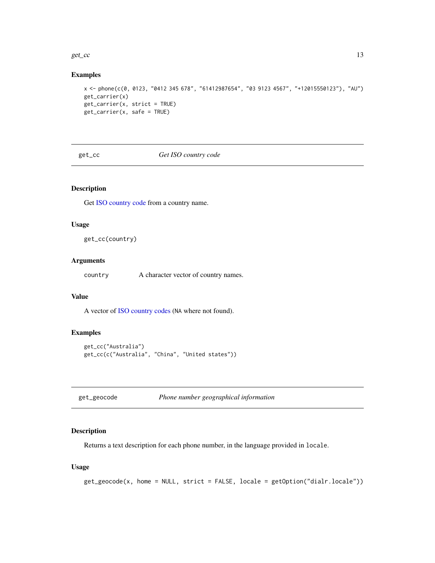#### <span id="page-12-0"></span>get\_cc  $\qquad \qquad$  13

#### Examples

```
x <- phone(c(0, 0123, "0412 345 678", "61412987654", "03 9123 4567", "+12015550123"), "AU")
get_carrier(x)
get_carrier(x, strict = TRUE)
get_carrier(x, safe = TRUE)
```
get\_cc *Get ISO country code*

# Description

Get [ISO country code](#page-7-1) from a country name.

#### Usage

get\_cc(country)

#### Arguments

country A character vector of country names.

# Value

A vector of [ISO country codes](#page-7-1) (NA where not found).

# Examples

```
get_cc("Australia")
get_cc(c("Australia", "China", "United states"))
```

| get_geocode | Phone number geographical information |  |  |
|-------------|---------------------------------------|--|--|
|-------------|---------------------------------------|--|--|

#### Description

Returns a text description for each phone number, in the language provided in locale.

#### Usage

```
get_geocode(x, home = NULL, strict = FALSE, locale = getOption("dialr.locale"))
```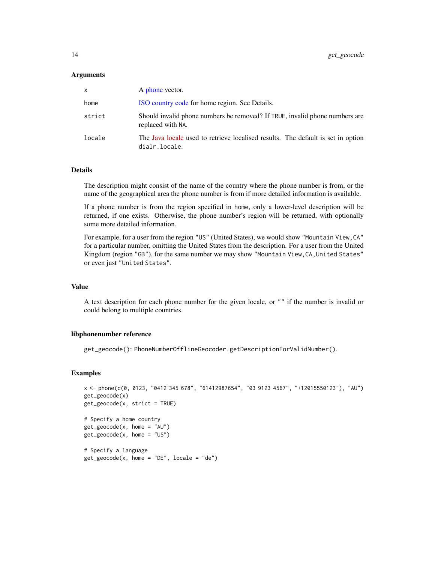#### <span id="page-13-0"></span>Arguments

| x      | A phone vector.                                                                                   |
|--------|---------------------------------------------------------------------------------------------------|
| home   | ISO country code for home region. See Details.                                                    |
| strict | Should invalid phone numbers be removed? If TRUE, invalid phone numbers are<br>replaced with NA.  |
| locale | The Java locale used to retrieve localised results. The default is set in option<br>dialr.locale. |

#### Details

The description might consist of the name of the country where the phone number is from, or the name of the geographical area the phone number is from if more detailed information is available.

If a phone number is from the region specified in home, only a lower-level description will be returned, if one exists. Otherwise, the phone number's region will be returned, with optionally some more detailed information.

For example, for a user from the region "US" (United States), we would show "Mountain View, CA" for a particular number, omitting the United States from the description. For a user from the United Kingdom (region "GB"), for the same number we may show "Mountain View, CA, United States" or even just "United States".

#### Value

A text description for each phone number for the given locale, or "" if the number is invalid or could belong to multiple countries.

#### libphonenumber reference

get\_geocode(): PhoneNumberOfflineGeocoder.getDescriptionForValidNumber().

```
x <- phone(c(0, 0123, "0412 345 678", "61412987654", "03 9123 4567", "+12015550123"), "AU")
get_geocode(x)
get_geocode(x, strict = TRUE)
# Specify a home country
get\_geocode(x, home = "AU")get_geocode(x, home = "US")
# Specify a language
get\_geocode(x, home = "DE", locale = "de")
```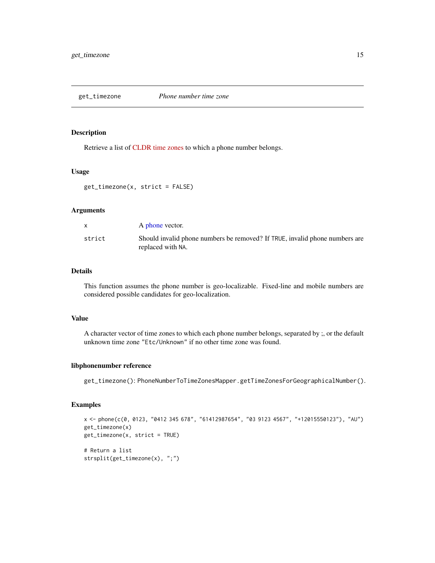<span id="page-14-0"></span>

Retrieve a list of [CLDR time zones](http://www.unicode.org/cldr/charts/latest/supplemental/zone_tzid.html) to which a phone number belongs.

#### Usage

get\_timezone(x, strict = FALSE)

# Arguments

|        | A phone vector.                                                                                  |
|--------|--------------------------------------------------------------------------------------------------|
| strict | Should invalid phone numbers be removed? If TRUE, invalid phone numbers are<br>replaced with NA. |
|        |                                                                                                  |

### Details

This function assumes the phone number is geo-localizable. Fixed-line and mobile numbers are considered possible candidates for geo-localization.

#### Value

A character vector of time zones to which each phone number belongs, separated by ;, or the default unknown time zone "Etc/Unknown" if no other time zone was found.

#### libphonenumber reference

get\_timezone(): PhoneNumberToTimeZonesMapper.getTimeZonesForGeographicalNumber().

```
x <- phone(c(0, 0123, "0412 345 678", "61412987654", "03 9123 4567", "+12015550123"), "AU")
get_timezone(x)
get_timezone(x, strict = TRUE)
# Return a list
strsplit(get_timezone(x), ";")
```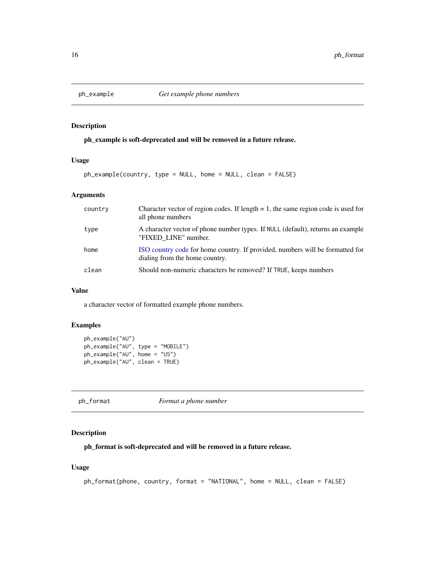<span id="page-15-0"></span>

ph\_example is soft-deprecated and will be removed in a future release.

# Usage

ph\_example(country, type = NULL, home = NULL, clean = FALSE)

# Arguments

| country | Character vector of region codes. If length $= 1$ , the same region code is used for<br>all phone numbers       |
|---------|-----------------------------------------------------------------------------------------------------------------|
| type    | A character vector of phone number types. If NULL (default), returns an example<br>"FIXED LINE" number.         |
| home    | ISO country code for home country. If provided, numbers will be formatted for<br>dialing from the home country. |
| clean   | Should non-numeric characters be removed? If TRUE, keeps numbers                                                |

#### Value

a character vector of formatted example phone numbers.

# Examples

```
ph_example("AU")
ph_example("AU", type = "MOBILE")
ph_example("AU", home = "US")
ph_example("AU", clean = TRUE)
```
ph\_format *Format a phone number*

#### Description

ph\_format is soft-deprecated and will be removed in a future release.

#### Usage

```
ph_format(phone, country, format = "NATIONAL", home = NULL, clean = FALSE)
```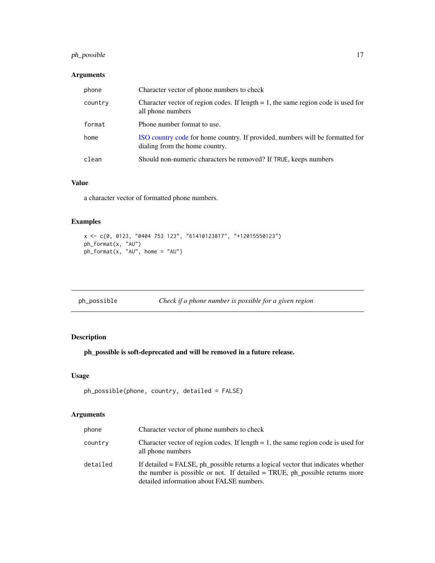# <span id="page-16-0"></span>ph\_possible 17

# Arguments

| phone   | Character vector of phone numbers to check                                                                      |
|---------|-----------------------------------------------------------------------------------------------------------------|
| country | Character vector of region codes. If length $= 1$ , the same region code is used for<br>all phone numbers       |
| format  | Phone number format to use.                                                                                     |
| home    | ISO country code for home country. If provided, numbers will be formatted for<br>dialing from the home country. |
| clean   | Should non-numeric characters be removed? If TRUE, keeps numbers                                                |

# Value

a character vector of formatted phone numbers.

# Examples

```
x <- c(0, 0123, "0404 753 123", "61410123817", "+12015550123")
ph_format(x, "AU")
ph_format(x, "AU", home = "AU")
```
ph\_possible *Check if a phone number is possible for a given region*

# Description

ph\_possible is soft-deprecated and will be removed in a future release.

#### Usage

```
ph_possible(phone, country, detailed = FALSE)
```
# Arguments

| phone    | Character vector of phone numbers to check                                                                                                                                                                   |
|----------|--------------------------------------------------------------------------------------------------------------------------------------------------------------------------------------------------------------|
| country  | Character vector of region codes. If length $= 1$ , the same region code is used for<br>all phone numbers                                                                                                    |
| detailed | If detailed = FALSE, ph_possible returns a logical vector that indicates whether<br>the number is possible or not. If detailed = TRUE, ph_possible returns more<br>detailed information about FALSE numbers. |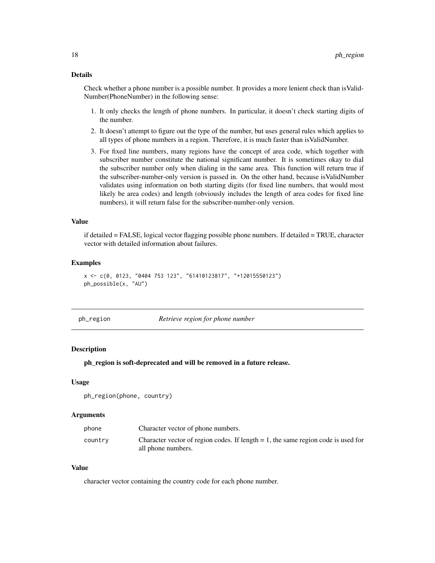#### <span id="page-17-0"></span>Details

Check whether a phone number is a possible number. It provides a more lenient check than isValid-Number(PhoneNumber) in the following sense:

- 1. It only checks the length of phone numbers. In particular, it doesn't check starting digits of the number.
- 2. It doesn't attempt to figure out the type of the number, but uses general rules which applies to all types of phone numbers in a region. Therefore, it is much faster than isValidNumber.
- 3. For fixed line numbers, many regions have the concept of area code, which together with subscriber number constitute the national significant number. It is sometimes okay to dial the subscriber number only when dialing in the same area. This function will return true if the subscriber-number-only version is passed in. On the other hand, because isValidNumber validates using information on both starting digits (for fixed line numbers, that would most likely be area codes) and length (obviously includes the length of area codes for fixed line numbers), it will return false for the subscriber-number-only version.

#### Value

if detailed = FALSE, logical vector flagging possible phone numbers. If detailed = TRUE, character vector with detailed information about failures.

#### Examples

```
x <- c(0, 0123, "0404 753 123", "61410123817", "+12015550123")
ph_possible(x, "AU")
```
ph\_region *Retrieve region for phone number*

#### **Description**

ph\_region is soft-deprecated and will be removed in a future release.

#### Usage

```
ph_region(phone, country)
```
#### Arguments

| phone   | Character vector of phone numbers.                                                   |
|---------|--------------------------------------------------------------------------------------|
| country | Character vector of region codes. If length $= 1$ , the same region code is used for |
|         | all phone numbers.                                                                   |

#### Value

character vector containing the country code for each phone number.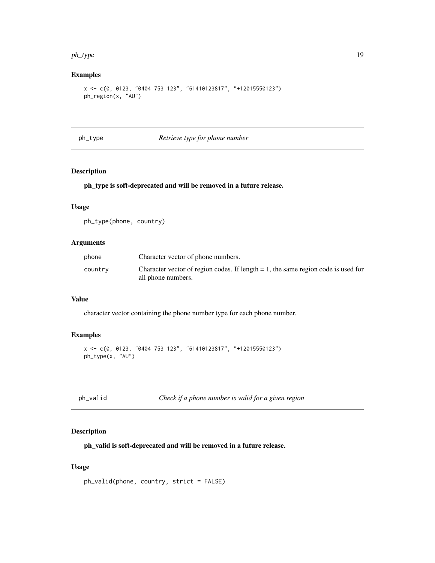#### <span id="page-18-0"></span>ph\_type 19

# Examples

```
x <- c(0, 0123, "0404 753 123", "61410123817", "+12015550123")
ph_region(x, "AU")
```
#### ph\_type *Retrieve type for phone number*

# Description

# ph\_type is soft-deprecated and will be removed in a future release.

# Usage

ph\_type(phone, country)

# Arguments

| phone   | Character vector of phone numbers.                                                   |
|---------|--------------------------------------------------------------------------------------|
| country | Character vector of region codes. If length $= 1$ , the same region code is used for |
|         | all phone numbers.                                                                   |

# Value

character vector containing the phone number type for each phone number.

# Examples

```
x <- c(0, 0123, "0404 753 123", "61410123817", "+12015550123")
ph_type(x, "AU")
```
ph\_valid *Check if a phone number is valid for a given region*

#### Description

ph\_valid is soft-deprecated and will be removed in a future release.

#### Usage

```
ph_valid(phone, country, strict = FALSE)
```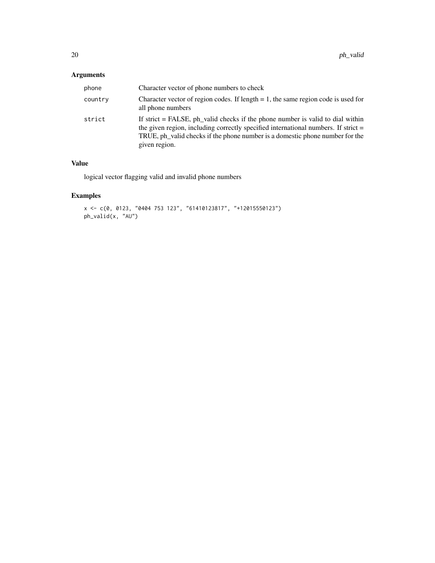# Arguments

| phone   | Character vector of phone numbers to check                                                                                                                                                                                                                                |
|---------|---------------------------------------------------------------------------------------------------------------------------------------------------------------------------------------------------------------------------------------------------------------------------|
| country | Character vector of region codes. If length $= 1$ , the same region code is used for<br>all phone numbers                                                                                                                                                                 |
| strict  | If strict $=$ FALSE, ph_valid checks if the phone number is valid to dial within<br>the given region, including correctly specified international numbers. If strict $=$<br>TRUE, ph_valid checks if the phone number is a domestic phone number for the<br>given region. |

# Value

logical vector flagging valid and invalid phone numbers

```
x <- c(0, 0123, "0404 753 123", "61410123817", "+12015550123")
ph_valid(x, "AU")
```